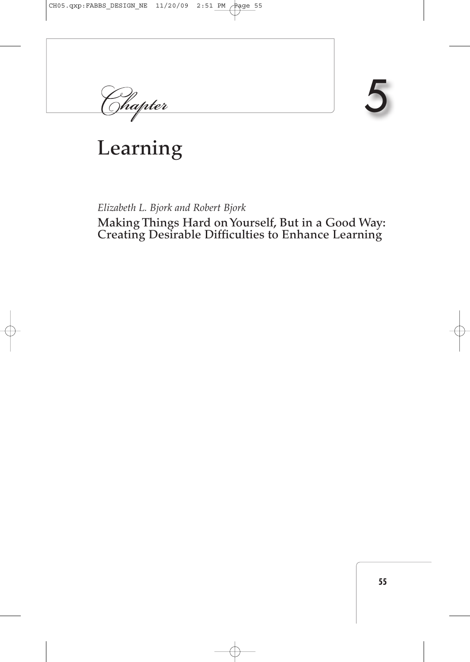5

# *Chapter*

# **Learning**

*Elizabeth L. Bjork and Robert Bjork*

**Making Things Hard on Yourself, But in a Good Way: Creating Desirable Difficulties to Enhance Learning**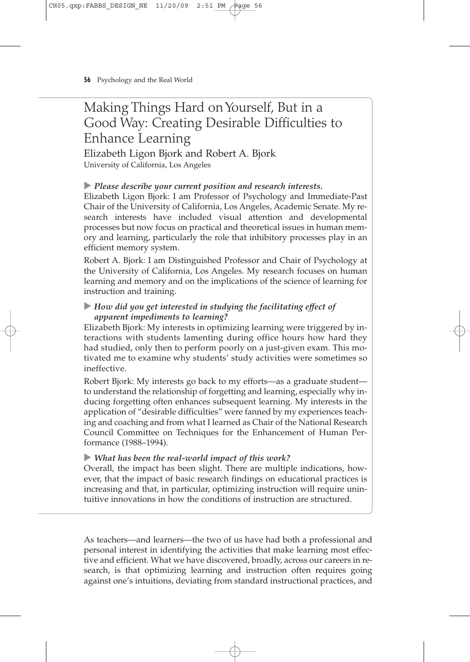# Making Things Hard on Yourself, But in a Good Way: Creating Desirable Difficulties to Enhance Learning

Elizabeth Ligon Bjork and Robert A. Bjork University of California, Los Angeles

#### *Please describe your current position and research interests.*

Elizabeth Ligon Bjork: I am Professor of Psychology and Immediate-Past Chair of the University of California, Los Angeles, Academic Senate. My research interests have included visual attention and developmental processes but now focus on practical and theoretical issues in human memory and learning, particularly the role that inhibitory processes play in an efficient memory system.

Robert A. Bjork: I am Distinguished Professor and Chair of Psychology at the University of California, Los Angeles. My research focuses on human learning and memory and on the implications of the science of learning for instruction and training.

### *How did you get interested in studying the facilitating effect of apparent impediments to learning?*

Elizabeth Bjork: My interests in optimizing learning were triggered by interactions with students lamenting during office hours how hard they had studied, only then to perform poorly on a just-given exam. This motivated me to examine why students' study activities were sometimes so ineffective.

Robert Bjork: My interests go back to my efforts—as a graduate student to understand the relationship of forgetting and learning, especially why inducing forgetting often enhances subsequent learning. My interests in the application of "desirable difficulties" were fanned by my experiences teaching and coaching and from what I learned as Chair of the National Research Council Committee on Techniques for the Enhancement of Human Performance (1988–1994).

#### *What has been the real-world impact of this work?*

Overall, the impact has been slight. There are multiple indications, however, that the impact of basic research findings on educational practices is increasing and that, in particular, optimizing instruction will require unintuitive innovations in how the conditions of instruction are structured.

As teachers—and learners—the two of us have had both a professional and personal interest in identifying the activities that make learning most effective and efficient. What we have discovered, broadly, across our careers in research, is that optimizing learning and instruction often requires going against one's intuitions, deviating from standard instructional practices, and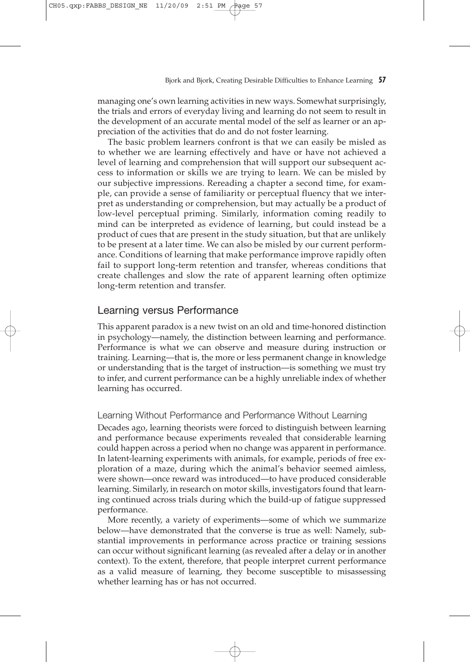managing one's own learning activities in new ways. Somewhat surprisingly, the trials and errors of everyday living and learning do not seem to result in the development of an accurate mental model of the self as learner or an appreciation of the activities that do and do not foster learning.

The basic problem learners confront is that we can easily be misled as to whether we are learning effectively and have or have not achieved a level of learning and comprehension that will support our subsequent access to information or skills we are trying to learn. We can be misled by our subjective impressions. Rereading a chapter a second time, for example, can provide a sense of familiarity or perceptual fluency that we interpret as understanding or comprehension, but may actually be a product of low-level perceptual priming. Similarly, information coming readily to mind can be interpreted as evidence of learning, but could instead be a product of cues that are present in the study situation, but that are unlikely to be present at a later time. We can also be misled by our current performance. Conditions of learning that make performance improve rapidly often fail to support long-term retention and transfer, whereas conditions that create challenges and slow the rate of apparent learning often optimize long-term retention and transfer.

# Learning versus Performance

This apparent paradox is a new twist on an old and time-honored distinction in psychology—namely, the distinction between learning and performance. Performance is what we can observe and measure during instruction or training. Learning—that is, the more or less permanent change in knowledge or understanding that is the target of instruction—is something we must try to infer, and current performance can be a highly unreliable index of whether learning has occurred.

#### Learning Without Performance and Performance Without Learning

Decades ago, learning theorists were forced to distinguish between learning and performance because experiments revealed that considerable learning could happen across a period when no change was apparent in performance. In latent-learning experiments with animals, for example, periods of free exploration of a maze, during which the animal's behavior seemed aimless, were shown—once reward was introduced—to have produced considerable learning. Similarly, in research on motor skills, investigators found that learning continued across trials during which the build-up of fatigue suppressed performance.

More recently, a variety of experiments—some of which we summarize below—have demonstrated that the converse is true as well: Namely, substantial improvements in performance across practice or training sessions can occur without significant learning (as revealed after a delay or in another context). To the extent, therefore, that people interpret current performance as a valid measure of learning, they become susceptible to misassessing whether learning has or has not occurred.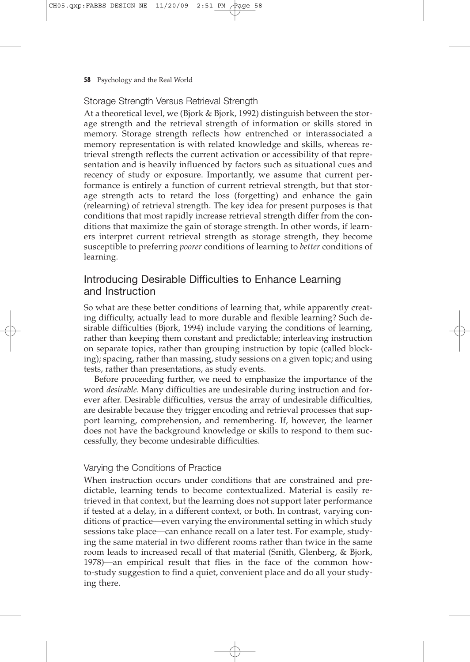#### Storage Strength Versus Retrieval Strength

At a theoretical level, we (Bjork & Bjork, 1992) distinguish between the storage strength and the retrieval strength of information or skills stored in memory. Storage strength reflects how entrenched or interassociated a memory representation is with related knowledge and skills, whereas retrieval strength reflects the current activation or accessibility of that representation and is heavily influenced by factors such as situational cues and recency of study or exposure. Importantly, we assume that current performance is entirely a function of current retrieval strength, but that storage strength acts to retard the loss (forgetting) and enhance the gain (relearning) of retrieval strength. The key idea for present purposes is that conditions that most rapidly increase retrieval strength differ from the conditions that maximize the gain of storage strength. In other words, if learners interpret current retrieval strength as storage strength, they become susceptible to preferring *poorer* conditions of learning to *better* conditions of learning.

# Introducing Desirable Difficulties to Enhance Learning and Instruction

So what are these better conditions of learning that, while apparently creating difficulty, actually lead to more durable and flexible learning? Such desirable difficulties (Bjork, 1994) include varying the conditions of learning, rather than keeping them constant and predictable; interleaving instruction on separate topics, rather than grouping instruction by topic (called blocking); spacing, rather than massing, study sessions on a given topic; and using tests, rather than presentations, as study events.

Before proceeding further, we need to emphasize the importance of the word *desirable*. Many difficulties are undesirable during instruction and forever after. Desirable difficulties, versus the array of undesirable difficulties, are desirable because they trigger encoding and retrieval processes that support learning, comprehension, and remembering. If, however, the learner does not have the background knowledge or skills to respond to them successfully, they become undesirable difficulties.

#### Varying the Conditions of Practice

When instruction occurs under conditions that are constrained and predictable, learning tends to become contextualized. Material is easily retrieved in that context, but the learning does not support later performance if tested at a delay, in a different context, or both. In contrast, varying conditions of practice—even varying the environmental setting in which study sessions take place—can enhance recall on a later test. For example, studying the same material in two different rooms rather than twice in the same room leads to increased recall of that material (Smith, Glenberg, & Bjork, 1978)—an empirical result that flies in the face of the common howto-study suggestion to find a quiet, convenient place and do all your studying there.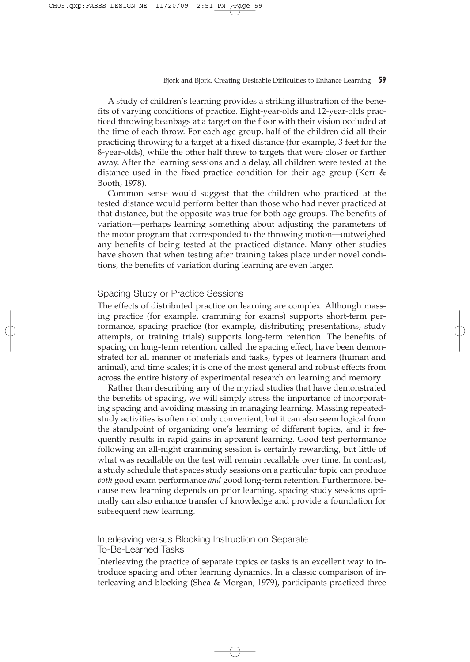#### Bjork and Bjork, Creating Desirable Difficulties to Enhance Learning **59**

A study of children's learning provides a striking illustration of the benefits of varying conditions of practice. Eight-year-olds and 12-year-olds practiced throwing beanbags at a target on the floor with their vision occluded at the time of each throw. For each age group, half of the children did all their practicing throwing to a target at a fixed distance (for example, 3 feet for the 8-year-olds), while the other half threw to targets that were closer or farther away. After the learning sessions and a delay, all children were tested at the distance used in the fixed-practice condition for their age group (Kerr & Booth, 1978).

Common sense would suggest that the children who practiced at the tested distance would perform better than those who had never practiced at that distance, but the opposite was true for both age groups. The benefits of variation—perhaps learning something about adjusting the parameters of the motor program that corresponded to the throwing motion—outweighed any benefits of being tested at the practiced distance. Many other studies have shown that when testing after training takes place under novel conditions, the benefits of variation during learning are even larger.

#### Spacing Study or Practice Sessions

The effects of distributed practice on learning are complex. Although massing practice (for example, cramming for exams) supports short-term performance, spacing practice (for example, distributing presentations, study attempts, or training trials) supports long-term retention. The benefits of spacing on long-term retention, called the spacing effect, have been demonstrated for all manner of materials and tasks, types of learners (human and animal), and time scales; it is one of the most general and robust effects from across the entire history of experimental research on learning and memory.

Rather than describing any of the myriad studies that have demonstrated the benefits of spacing, we will simply stress the importance of incorporating spacing and avoiding massing in managing learning. Massing repeatedstudy activities is often not only convenient, but it can also seem logical from the standpoint of organizing one's learning of different topics, and it frequently results in rapid gains in apparent learning. Good test performance following an all-night cramming session is certainly rewarding, but little of what was recallable on the test will remain recallable over time. In contrast, a study schedule that spaces study sessions on a particular topic can produce *both* good exam performance *and* good long-term retention. Furthermore, because new learning depends on prior learning, spacing study sessions optimally can also enhance transfer of knowledge and provide a foundation for subsequent new learning.

# Interleaving versus Blocking Instruction on Separate To-Be-Learned Tasks

Interleaving the practice of separate topics or tasks is an excellent way to introduce spacing and other learning dynamics. In a classic comparison of interleaving and blocking (Shea & Morgan, 1979), participants practiced three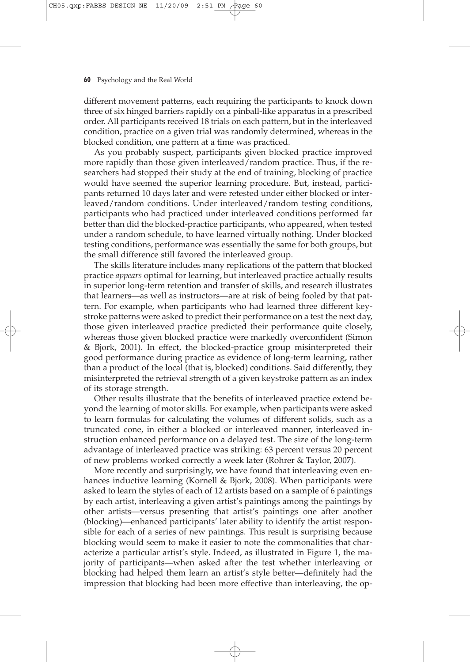different movement patterns, each requiring the participants to knock down three of six hinged barriers rapidly on a pinball-like apparatus in a prescribed order. All participants received 18 trials on each pattern, but in the interleaved condition, practice on a given trial was randomly determined, whereas in the blocked condition, one pattern at a time was practiced.

As you probably suspect, participants given blocked practice improved more rapidly than those given interleaved/random practice. Thus, if the researchers had stopped their study at the end of training, blocking of practice would have seemed the superior learning procedure. But, instead, participants returned 10 days later and were retested under either blocked or interleaved/random conditions. Under interleaved/random testing conditions, participants who had practiced under interleaved conditions performed far better than did the blocked-practice participants, who appeared, when tested under a random schedule, to have learned virtually nothing. Under blocked testing conditions, performance was essentially the same for both groups, but the small difference still favored the interleaved group.

The skills literature includes many replications of the pattern that blocked practice *appears* optimal for learning, but interleaved practice actually results in superior long-term retention and transfer of skills, and research illustrates that learners—as well as instructors—are at risk of being fooled by that pattern. For example, when participants who had learned three different keystroke patterns were asked to predict their performance on a test the next day, those given interleaved practice predicted their performance quite closely, whereas those given blocked practice were markedly overconfident (Simon & Bjork, 2001). In effect, the blocked-practice group misinterpreted their good performance during practice as evidence of long-term learning, rather than a product of the local (that is, blocked) conditions. Said differently, they misinterpreted the retrieval strength of a given keystroke pattern as an index of its storage strength.

Other results illustrate that the benefits of interleaved practice extend beyond the learning of motor skills. For example, when participants were asked to learn formulas for calculating the volumes of different solids, such as a truncated cone, in either a blocked or interleaved manner, interleaved instruction enhanced performance on a delayed test. The size of the long-term advantage of interleaved practice was striking: 63 percent versus 20 percent of new problems worked correctly a week later (Rohrer & Taylor, 2007).

More recently and surprisingly, we have found that interleaving even enhances inductive learning (Kornell & Bjork, 2008). When participants were asked to learn the styles of each of 12 artists based on a sample of 6 paintings by each artist, interleaving a given artist's paintings among the paintings by other artists—versus presenting that artist's paintings one after another (blocking)—enhanced participants' later ability to identify the artist responsible for each of a series of new paintings. This result is surprising because blocking would seem to make it easier to note the commonalities that characterize a particular artist's style. Indeed, as illustrated in Figure 1, the majority of participants—when asked after the test whether interleaving or blocking had helped them learn an artist's style better—definitely had the impression that blocking had been more effective than interleaving, the op-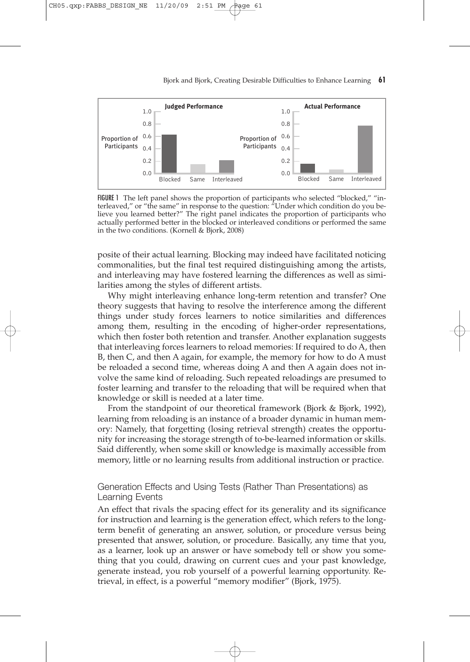

#### Bjork and Bjork, Creating Desirable Difficulties to Enhance Learning **61**

FIGURE 1 The left panel shows the proportion of participants who selected "blocked," "interleaved," or "the same" in response to the question: "Under which condition do you believe you learned better?" The right panel indicates the proportion of participants who actually performed better in the blocked or interleaved conditions or performed the same in the two conditions. (Kornell & Bjork, 2008)

posite of their actual learning. Blocking may indeed have facilitated noticing commonalities, but the final test required distinguishing among the artists, and interleaving may have fostered learning the differences as well as similarities among the styles of different artists.

Why might interleaving enhance long-term retention and transfer? One theory suggests that having to resolve the interference among the different things under study forces learners to notice similarities and differences among them, resulting in the encoding of higher-order representations, which then foster both retention and transfer. Another explanation suggests that interleaving forces learners to reload memories: If required to do A, then B, then C, and then A again, for example, the memory for how to do A must be reloaded a second time, whereas doing A and then A again does not involve the same kind of reloading. Such repeated reloadings are presumed to foster learning and transfer to the reloading that will be required when that knowledge or skill is needed at a later time.

From the standpoint of our theoretical framework (Bjork & Bjork, 1992), learning from reloading is an instance of a broader dynamic in human memory: Namely, that forgetting (losing retrieval strength) creates the opportunity for increasing the storage strength of to-be-learned information or skills. Said differently, when some skill or knowledge is maximally accessible from memory, little or no learning results from additional instruction or practice.

# Generation Effects and Using Tests (Rather Than Presentations) as Learning Events

An effect that rivals the spacing effect for its generality and its significance for instruction and learning is the generation effect, which refers to the longterm benefit of generating an answer, solution, or procedure versus being presented that answer, solution, or procedure. Basically, any time that you, as a learner, look up an answer or have somebody tell or show you something that you could, drawing on current cues and your past knowledge, generate instead, you rob yourself of a powerful learning opportunity. Retrieval, in effect, is a powerful "memory modifier" (Bjork, 1975).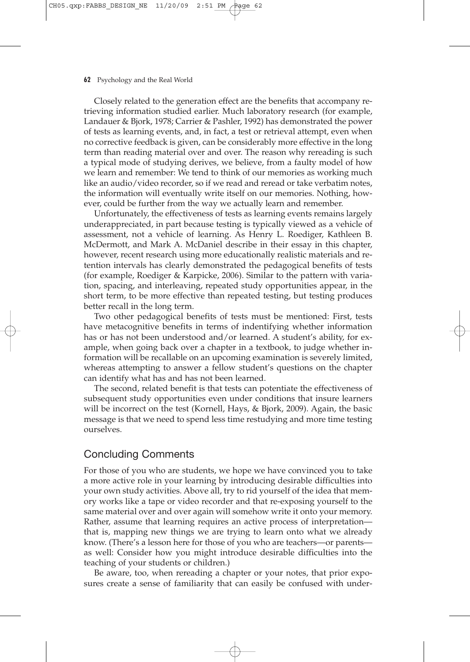Closely related to the generation effect are the benefits that accompany retrieving information studied earlier. Much laboratory research (for example, Landauer & Bjork, 1978; Carrier & Pashler, 1992) has demonstrated the power of tests as learning events, and, in fact, a test or retrieval attempt, even when no corrective feedback is given, can be considerably more effective in the long term than reading material over and over. The reason why rereading is such a typical mode of studying derives, we believe, from a faulty model of how we learn and remember: We tend to think of our memories as working much like an audio/video recorder, so if we read and reread or take verbatim notes, the information will eventually write itself on our memories. Nothing, however, could be further from the way we actually learn and remember.

Unfortunately, the effectiveness of tests as learning events remains largely underappreciated, in part because testing is typically viewed as a vehicle of assessment, not a vehicle of learning. As Henry L. Roediger, Kathleen B. McDermott, and Mark A. McDaniel describe in their essay in this chapter, however, recent research using more educationally realistic materials and retention intervals has clearly demonstrated the pedagogical benefits of tests (for example, Roediger & Karpicke, 2006). Similar to the pattern with variation, spacing, and interleaving, repeated study opportunities appear, in the short term, to be more effective than repeated testing, but testing produces better recall in the long term.

Two other pedagogical benefits of tests must be mentioned: First, tests have metacognitive benefits in terms of indentifying whether information has or has not been understood and/or learned. A student's ability, for example, when going back over a chapter in a textbook, to judge whether information will be recallable on an upcoming examination is severely limited, whereas attempting to answer a fellow student's questions on the chapter can identify what has and has not been learned.

The second, related benefit is that tests can potentiate the effectiveness of subsequent study opportunities even under conditions that insure learners will be incorrect on the test (Kornell, Hays, & Bjork, 2009). Again, the basic message is that we need to spend less time restudying and more time testing ourselves.

# Concluding Comments

For those of you who are students, we hope we have convinced you to take a more active role in your learning by introducing desirable difficulties into your own study activities. Above all, try to rid yourself of the idea that memory works like a tape or video recorder and that re-exposing yourself to the same material over and over again will somehow write it onto your memory. Rather, assume that learning requires an active process of interpretation that is, mapping new things we are trying to learn onto what we already know. (There's a lesson here for those of you who are teachers—or parents as well: Consider how you might introduce desirable difficulties into the teaching of your students or children.)

Be aware, too, when rereading a chapter or your notes, that prior exposures create a sense of familiarity that can easily be confused with under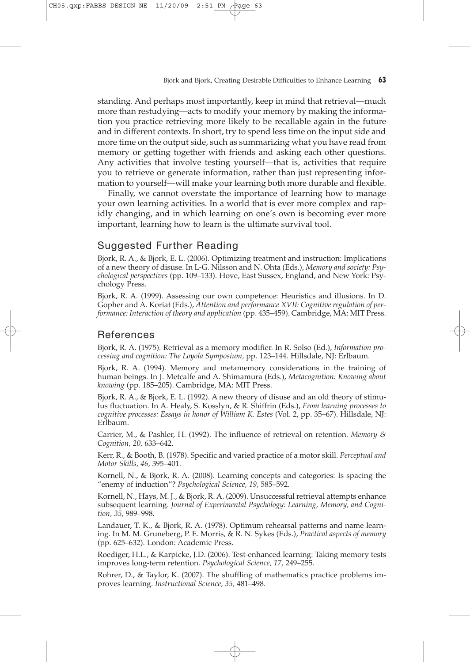Bjork and Bjork, Creating Desirable Difficulties to Enhance Learning **63**

standing. And perhaps most importantly, keep in mind that retrieval—much more than restudying—acts to modify your memory by making the information you practice retrieving more likely to be recallable again in the future and in different contexts. In short, try to spend less time on the input side and more time on the output side, such as summarizing what you have read from memory or getting together with friends and asking each other questions. Any activities that involve testing yourself—that is, activities that require you to retrieve or generate information, rather than just representing information to yourself—will make your learning both more durable and flexible.

Finally, we cannot overstate the importance of learning how to manage your own learning activities. In a world that is ever more complex and rapidly changing, and in which learning on one's own is becoming ever more important, learning how to learn is the ultimate survival tool.

# Suggested Further Reading

Bjork, R. A., & Bjork, E. L. (2006). Optimizing treatment and instruction: Implications of a new theory of disuse. In L-G. Nilsson and N. Ohta (Eds.), *Memory and society: Psychological perspectives* (pp. 109–133). Hove, East Sussex, England, and New York: Psychology Press.

Bjork, R. A. (1999). Assessing our own competence: Heuristics and illusions. In D. Gopher and A. Koriat (Eds*.*), *Attention and performance XVII: Cognitive regulation of performance: Interaction of theory and application (pp. 435–459). Cambridge, MA: MIT Press.* 

# References

Bjork, R. A. (1975). Retrieval as a memory modifier. In R. Solso (Ed.), *Information processing and cognition: The Loyola Symposium,* pp. 123–144. Hillsdale, NJ: Erlbaum.

Bjork, R. A. (1994). Memory and metamemory considerations in the training of human beings. In J. Metcalfe and A. Shimamura (Eds.), *Metacognition: Knowing about knowing* (pp. 185–205). Cambridge, MA: MIT Press.

Bjork, R. A., & Bjork, E. L. (1992). A new theory of disuse and an old theory of stimulus fluctuation. In A. Healy, S. Kosslyn, & R. Shiffrin (Eds.), *From learning processes to cognitive processes: Essays in honor of William K. Estes* (Vol. 2, pp. 35–67). Hillsdale, NJ: Erlbaum.

Carrier, M., & Pashler, H. (1992). The influence of retrieval on retention. *Memory & Cognition, 20,* 633–642.

Kerr, R., & Booth, B. (1978). Specific and varied practice of a motor skill. *Perceptual and Motor Skills, 46,* 395–401.

Kornell, N., & Bjork, R. A. (2008). Learning concepts and categories: Is spacing the "enemy of induction"? *Psychological Science, 19,* 585–592.

Kornell, N., Hays, M. J., & Bjork, R. A. (2009). Unsuccessful retrieval attempts enhance subsequent learning. *Journal of Experimental Psychology: Learning, Memory, and Cognition, 35*, 989–998*.*

Landauer, T. K., & Bjork, R. A. (1978). Optimum rehearsal patterns and name learning. In M. M. Gruneberg, P. E. Morris, & R. N. Sykes (Eds.), *Practical aspects of memory* (pp. 625–632). London: Academic Press.

Roediger, H.L., & Karpicke, J.D. (2006). Test-enhanced learning: Taking memory tests improves long-term retention. *Psychological Science, 17,* 249–255.

Rohrer, D., & Taylor, K. (2007). The shuffling of mathematics practice problems improves learning. *Instructional Science, 35,* 481–498.